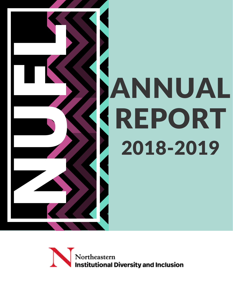

Northeastern **Institutional Diversity and Inclusion**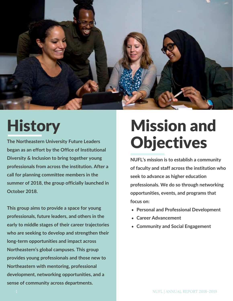

# **History**

**The Northeastern University Future Leaders began as an effort by the Office of Institutional Diversity & Inclusion to bring together young professionals from across the institution. After a call for planning committee members in the summer of 2018, the group officially launched in October 2018.** 

**This group aims to provide a space for young professionals, future leaders, and others in the early to middle stages of their career trajectories who are seeking to develop and strengthen their long-term opportunities and impact across Northeastern's global campuses. This group provides young professionals and those new to Northeastern with mentoring, professional development, networking opportunities, and a sense of community across departments.**

# Mission and **Objectives**

**NUFL's mission is to establish a community of faculty and staff across the institution who seek to advance as higher education professionals. We do so through networking opportunities, events, and programs that focus on:**

- **Personal and Professional Development**
- **Career Advancement**
- **Community and Social Engagement**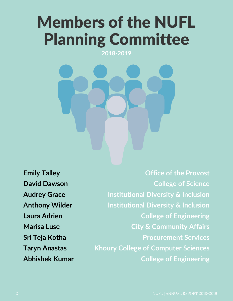# Members of the NUFL Planning Committee

**2018-2019**

**Emily Talley David Dawson Audrey Grace Anthony Wilder Laura Adrien Marisa Luse Sri Teja Kotha Taryn Anastas Abhishek Kumar**

**Office of the Provost College of Science Institutional Diversity & Inclusion Institutional Diversity & Inclusion College of Engineering City & Community Affairs Procurement Services Khoury College of Computer Sciences College of Engineering**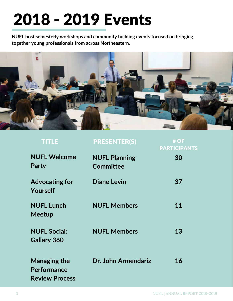# 2018 - 2019 Events

**NUFL host semesterly workshops and community building events focused on bringing together young professionals from across Northeastern.**



| <b>TITLE</b>                                                | <b>PRESENTER(S)</b>                      | # OF<br><b>PARTICIPANTS</b> |
|-------------------------------------------------------------|------------------------------------------|-----------------------------|
| <b>NUFL Welcome</b><br>Party                                | <b>NUFL Planning</b><br><b>Committee</b> | 30                          |
| <b>Advocating for</b><br>Yourself                           | <b>Diane Levin</b>                       | 37                          |
| <b>NUFL Lunch</b><br><b>Meetup</b>                          | <b>NUFL Members</b>                      | 11                          |
| <b>NUFL Social:</b><br><b>Gallery 360</b>                   | <b>NUFL Members</b>                      | 13                          |
| <b>Managing the</b><br>Performance<br><b>Review Process</b> | Dr. John Armendariz                      | 16                          |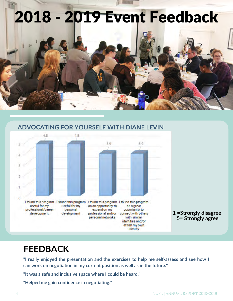



#### **ADVOCATING FOR YOURSELF WITH DIANE LEVIN**

## **FEEDBACK**

**"I really enjoyed the presentation and the exercises to help me self-assess and see how I can work on negotiation in my current position as well as in the future."**

**"It was a safe and inclusive space where I could be heard."**

**"Helped me gain confidence in negotiating."**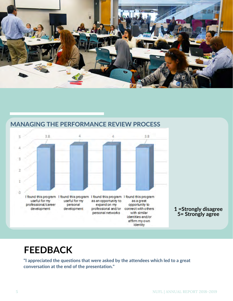



### **MANAGING THE PERFORMANCE REVIEW PROCESS**

## **FEEDBACK**

**"I appreciated the questions that were asked by the attendees which led to a great conversation at the end of the presentation."**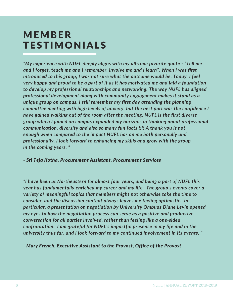## **MEMBER TESTIMONIALS**

*"My experience with NUFL deeply aligns with my all-time favorite quote - "Tell me and I forget, teach me and I remember, involve me and I learn". When I was first introduced to this group, I was not sure what the outcome would be. Today, I feel very happy and proud to be a part of it as it has motivated me and laid a foundation to develop my professional relationships and networking. The way NUFL has aligned professional development along with community engagement makes it stand as a unique group on campus. I still remember my first day attending the planning committee meeting with high levels of anxiety, but the best part was the confidence I have gained walking out of the room after the meeting. NUFL is the first diverse group which I joined on campus expanded my horizons in thinking about professional communication, diversity and also so many fun facts !!!! A thank you is not enough when compared to the impact NUFL has on me both personally and professionally. I look forward to enhancing my skills and grow with the group in the coming years. "*

#### *- Sri Teja Kotha, Procurement Assistant, Procurement Services*

*"I have been at Northeastern for almost four years, and being a part of NUFL this year has fundamentally enriched my career and my life. The group's events cover a variety of meaningful topics that members might not otherwise take the time to consider, and the discussion content always leaves me feeling optimistic. In particular, a presentation on negotiation by University Ombuds Diane Levin opened my eyes to how the negotiation process can serve as a positive and productive conversation for all parties involved, rather than feeling like a one-sided confrontation. I am grateful for NUFL's impactful presence in my life and in the university thus far, and I look forward to my continued involvement in its events. "* 

*- Mary French, Executive Assistant to the Provost, Office of the Provost*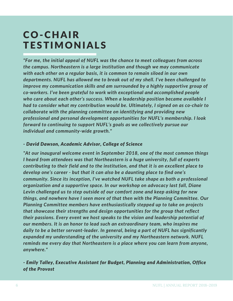## C O - C H A I R **TESTIMONIALS**

*"For me, the initial appeal of NUFL was the chance to meet colleagues from across the campus. Northeastern is a large institution and though we may communicate with each other on a regular basis, it is common to remain siloed in our own departments. NUFL has allowed me to break out of my shell. I've been challenged to improve my communication skills and am surrounded by a highly supportive group of co-workers. I've been grateful to work with exceptional and accomplished people who care about each other's success. When a leadership position became available I had to consider what my contribution would be. Ultimately, I signed on as co-chair to collaborate with the planning committee on identifying and providing new professional and personal development opportunities for NUFL's membership. I look forward to continuing to support NUFL's goals as we collectively pursue our individual and community-wide growth."* 

#### *- David Dawson, Academic Advisor, College of Science*

*"At our inaugural welcome event in September 2018, one of the most common things I heard from attendees was that Northeastern is a huge university, full of experts contributing to their field and to the institution, and that it is an excellent place to develop one's career - but that it can also be a daunting place to find one's community. Since its inception, I've watched NUFL take shape as both a professional organization and a supportive space. In our workshop on advocacy last fall, Diane Levin challenged us to step outside of our comfort zone and keep asking for new things, and nowhere have I seen more of that then with the Planning Committee. Our Planning Committee members have enthusiastically stepped up to take on projects that showcase their strengths and design opportunities for the group that reflect their passions. Every event we host speaks to the vision and leadership potential of our members. It is an honor to lead such an extraordinary team, who inspires me daily to be a better servant-leader. In general, being a part of NUFL has significantly expanded my understanding of the university and my Northeastern network. NUFL reminds me every day that Northeastern is a place where you can learn from anyone, anywhere."* 

#### *- Emily Talley, Executive Assistant for Budget, Planning and Administration, Office of the Provost*